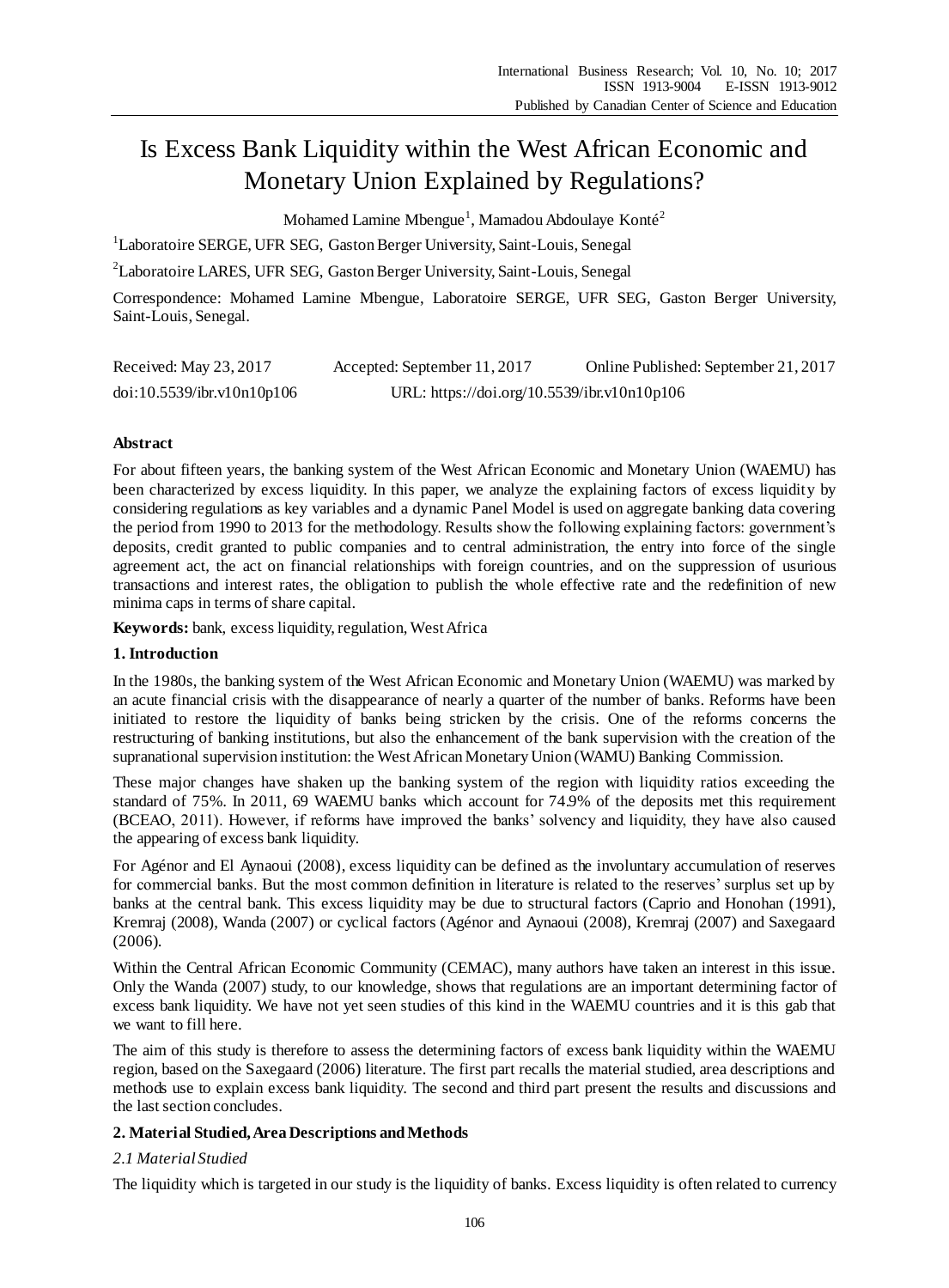# Is Excess Bank Liquidity within the West African Economic and Monetary Union Explained by Regulations?

Mohamed Lamine Mbengue<sup>1</sup>, Mamadou Abdoulaye Kont $\hat{\epsilon}$ 

<sup>1</sup>Laboratoire SERGE, UFR SEG, Gaston Berger University, Saint-Louis, Senegal

<sup>2</sup>Laboratoire LARES, UFR SEG, Gaston Berger University, Saint-Louis, Senegal

Correspondence: Mohamed Lamine Mbengue, Laboratoire SERGE, UFR SEG, Gaston Berger University, Saint-Louis, Senegal.

| Received: May 23, 2017     | Accepted: September 11, 2017                | Online Published: September 21, 2017 |
|----------------------------|---------------------------------------------|--------------------------------------|
| doi:10.5539/ibr.v10n10p106 | URL: https://doi.org/10.5539/ibr.v10n10p106 |                                      |

# **Abstract**

For about fifteen years, the banking system of the West African Economic and Monetary Union (WAEMU) has been characterized by excess liquidity. In this paper, we analyze the explaining factors of excess liquidity by considering regulations as key variables and a dynamic Panel Model is used on aggregate banking data covering the period from 1990 to 2013 for the methodology. Results show the following explaining factors: government's deposits, credit granted to public companies and to central administration, the entry into force of the single agreement act, the act on financial relationships with foreign countries, and on the suppression of usurious transactions and interest rates, the obligation to publish the whole effective rate and the redefinition of new minima caps in terms of share capital.

**Keywords:** bank, excess liquidity, regulation, West Africa

# **1. Introduction**

In the 1980s, the banking system of the West African Economic and Monetary Union (WAEMU) was marked by an acute financial crisis with the disappearance of nearly a quarter of the number of banks. Reforms have been initiated to restore the liquidity of banks being stricken by the crisis. One of the reforms concerns the restructuring of banking institutions, but also the enhancement of the bank supervision with the creation of the supranational supervision institution: the West African Monetary Union (WAMU) Banking Commission.

These major changes have shaken up the banking system of the region with liquidity ratios exceeding the standard of 75%. In 2011, 69 WAEMU banks which account for 74.9% of the deposits met this requirement (BCEAO, 2011). However, if reforms have improved the banks' solvency and liquidity, they have also caused the appearing of excess bank liquidity.

For Agénor and El Aynaoui (2008), excess liquidity can be defined as the involuntary accumulation of reserves for commercial banks. But the most common definition in literature is related to the reserves' surplus set up by banks at the central bank. This excess liquidity may be due to structural factors (Caprio and Honohan (1991), Kremraj (2008), Wanda (2007) or cyclical factors (Agénor and Aynaoui (2008), Kremraj (2007) and Saxegaard (2006).

Within the Central African Economic Community (CEMAC), many authors have taken an interest in this issue. Only the Wanda (2007) study, to our knowledge, shows that regulations are an important determining factor of excess bank liquidity. We have not yet seen studies of this kind in the WAEMU countries and it is this gab that we want to fill here.

The aim of this study is therefore to assess the determining factors of excess bank liquidity within the WAEMU region, based on the Saxegaard (2006) literature. The first part recalls the material studied, area descriptions and methods use to explain excess bank liquidity. The second and third part present the results and discussions and the last section concludes.

# **2. Material Studied,Area Descriptions and Methods**

# *2.1 Material Studied*

The liquidity which is targeted in our study is the liquidity of banks. Excess liquidity is often related to currency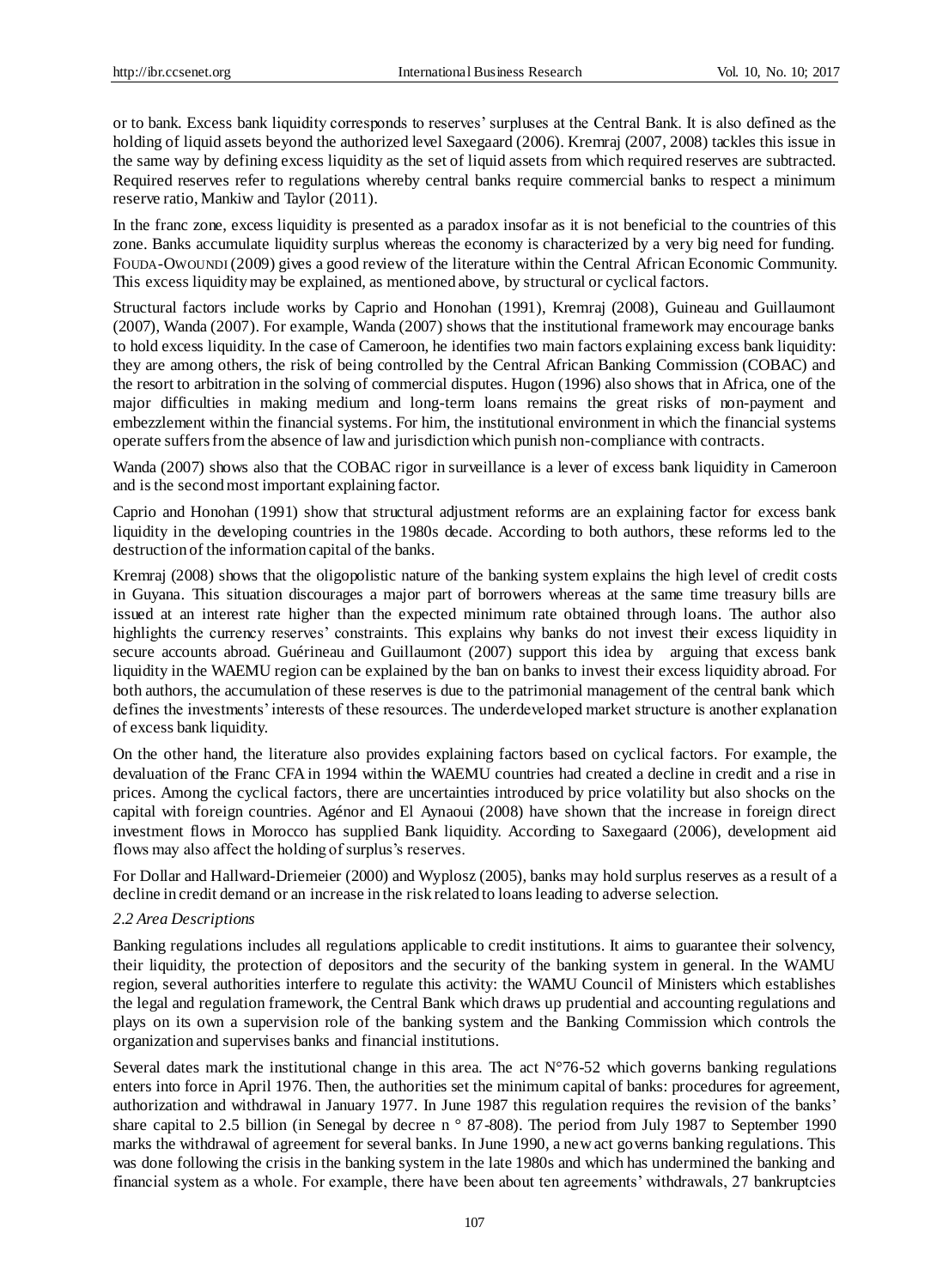or to bank. Excess bank liquidity corresponds to reserves' surpluses at the Central Bank. It is also defined as the holding of liquid assets beyond the authorized level Saxegaard (2006). Kremraj (2007, 2008) tackles this issue in the same way by defining excess liquidity as the set of liquid assets from which required reserves are subtracted. Required reserves refer to regulations whereby central banks require commercial banks to respect a minimum reserve ratio, Mankiw and Taylor (2011).

In the franc zone, excess liquidity is presented as a paradox insofar as it is not beneficial to the countries of this zone. Banks accumulate liquidity surplus whereas the economy is characterized by a very big need for funding. FOUDA-OWOUNDI (2009) gives a good review of the literature within the Central African Economic Community. This excess liquidity may be explained, as mentioned above, by structural or cyclical factors.

Structural factors include works by Caprio and Honohan (1991), Kremraj (2008), Guineau and Guillaumont (2007), Wanda (2007). For example, Wanda (2007) shows that the institutional framework may encourage banks to hold excess liquidity. In the case of Cameroon, he identifies two main factors explaining excess bank liquidity: they are among others, the risk of being controlled by the Central African Banking Commission (COBAC) and the resort to arbitration in the solving of commercial disputes. Hugon (1996) also shows that in Africa, one of the major difficulties in making medium and long-term loans remains the great risks of non-payment and embezzlement within the financial systems. For him, the institutional environment in which the financial systems operate suffers from the absence of law and jurisdiction which punish non-compliance with contracts.

Wanda (2007) shows also that the COBAC rigor in surveillance is a lever of excess bank liquidity in Cameroon and is the second most important explaining factor.

Caprio and Honohan (1991) show that structural adjustment reforms are an explaining factor for excess bank liquidity in the developing countries in the 1980s decade. According to both authors, these reforms led to the destruction of the information capital of the banks.

Kremraj (2008) shows that the oligopolistic nature of the banking system explains the high level of credit costs in Guyana. This situation discourages a major part of borrowers whereas at the same time treasury bills are issued at an interest rate higher than the expected minimum rate obtained through loans. The author also highlights the currency reserves' constraints. This explains why banks do not invest their excess liquidity in secure accounts abroad. Guérineau and Guillaumont (2007) support this idea by arguing that excess bank liquidity in the WAEMU region can be explained by the ban on banks to invest their excess liquidity abroad. For both authors, the accumulation of these reserves is due to the patrimonial management of the central bank which defines the investments' interests of these resources. The underdeveloped market structure is another explanation of excess bank liquidity.

On the other hand, the literature also provides explaining factors based on cyclical factors. For example, the devaluation of the Franc CFA in 1994 within the WAEMU countries had created a decline in credit and a rise in prices. Among the cyclical factors, there are uncertainties introduced by price volatility but also shocks on the capital with foreign countries. Agénor and El Aynaoui (2008) have shown that the increase in foreign direct investment flows in Morocco has supplied Bank liquidity. According to Saxegaard (2006), development aid flows may also affect the holding of surplus's reserves.

For Dollar and Hallward-Driemeier (2000) and Wyplosz (2005), banks may hold surplus reserves as a result of a decline in credit demand or an increase in the risk related to loans leading to adverse selection.

# *2.2 Area Descriptions*

Banking regulations includes all regulations applicable to credit institutions. It aims to guarantee their solvency, their liquidity, the protection of depositors and the security of the banking system in general. In the WAMU region, several authorities interfere to regulate this activity: the WAMU Council of Ministers which establishes the legal and regulation framework, the Central Bank which draws up prudential and accounting regulations and plays on its own a supervision role of the banking system and the Banking Commission which controls the organization and supervises banks and financial institutions.

Several dates mark the institutional change in this area. The act N°76-52 which governs banking regulations enters into force in April 1976. Then, the authorities set the minimum capital of banks: procedures for agreement, authorization and withdrawal in January 1977. In June 1987 this regulation requires the revision of the banks' share capital to 2.5 billion (in Senegal by decree n ° 87-808). The period from July 1987 to September 1990 marks the withdrawal of agreement for several banks. In June 1990, a new act governs banking regulations. This was done following the crisis in the banking system in the late 1980s and which has undermined the banking and financial system as a whole. For example, there have been about ten agreements' withdrawals, 27 bankruptcies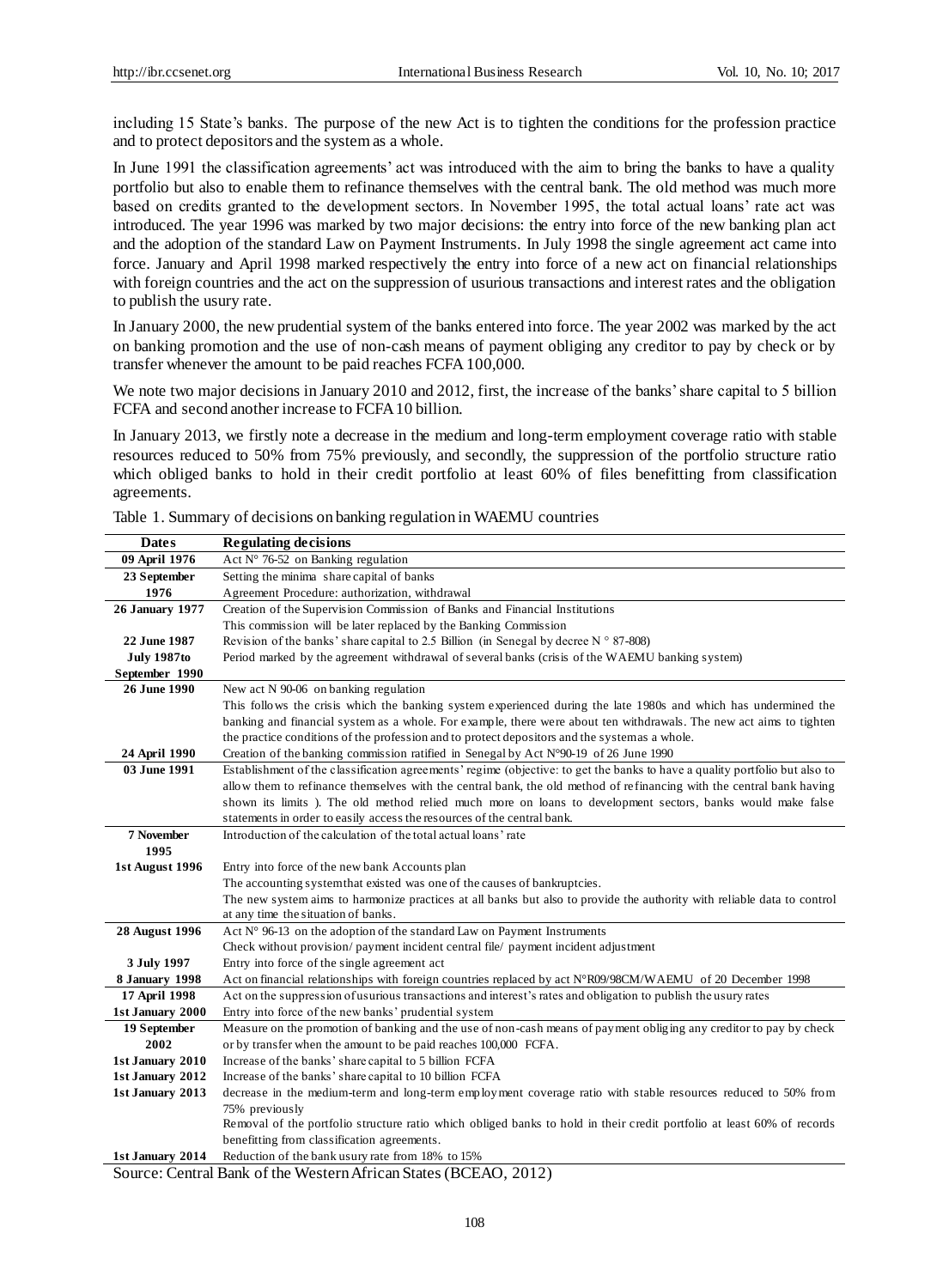including 15 State's banks. The purpose of the new Act is to tighten the conditions for the profession practice and to protect depositors and the system as a whole.

In June 1991 the classification agreements' act was introduced with the aim to bring the banks to have a quality portfolio but also to enable them to refinance themselves with the central bank. The old method was much more based on credits granted to the development sectors. In November 1995, the total actual loans' rate act was introduced. The year 1996 was marked by two major decisions: the entry into force of the new banking plan act and the adoption of the standard Law on Payment Instruments. In July 1998 the single agreement act came into force. January and April 1998 marked respectively the entry into force of a new act on financial relationships with foreign countries and the act on the suppression of usurious transactions and interest rates and the obligation to publish the usury rate.

In January 2000, the new prudential system of the banks entered into force. The year 2002 was marked by the act on banking promotion and the use of non-cash means of payment obliging any creditor to pay by check or by transfer whenever the amount to be paid reaches FCFA 100,000.

We note two major decisions in January 2010 and 2012, first, the increase of the banks' share capital to 5 billion FCFA and second another increase to FCFA 10 billion.

In January 2013, we firstly note a decrease in the medium and long-term employment coverage ratio with stable resources reduced to 50% from 75% previously, and secondly, the suppression of the portfolio structure ratio which obliged banks to hold in their credit portfolio at least 60% of files benefitting from classification agreements.

| <b>Dates</b>           | <b>Regulating decisions</b>                                                                                                                                                |
|------------------------|----------------------------------------------------------------------------------------------------------------------------------------------------------------------------|
| 09 April 1976          | Act $N^{\circ}$ 76-52 on Banking regulation                                                                                                                                |
| 23 September           | Setting the minima share capital of banks                                                                                                                                  |
| 1976                   | Agreement Procedure: authorization, withdrawal                                                                                                                             |
| <b>26 January 1977</b> | Creation of the Supervision Commission of Banks and Financial Institutions                                                                                                 |
|                        | This commission will be later replaced by the Banking Commission                                                                                                           |
| 22 June 1987           | Revision of the banks' share capital to 2.5 Billion (in Senegal by decree $N \circ 87-808$ )                                                                               |
| <b>July 1987to</b>     | Period marked by the agreement withdrawal of several banks (crisis of the WAEMU banking system)                                                                            |
| September 1990         |                                                                                                                                                                            |
| 26 June 1990           | New act N 90-06 on banking regulation                                                                                                                                      |
|                        | This follows the crisis which the banking system experienced during the late 1980s and which has undermined the                                                            |
|                        | banking and financial system as a whole. For example, there were about ten withdrawals. The new act aims to tighten                                                        |
|                        | the practice conditions of the profession and to protect depositors and the system as a whole.                                                                             |
| 24 April 1990          | Creation of the banking commission ratified in Senegal by Act N 90-19 of 26 June 1990                                                                                      |
| 03 June 1991           | Establishment of the classification agreements' regime (objective: to get the banks to have a quality portfolio but also to                                                |
|                        | allow them to refinance themselves with the central bank, the old method of refinancing with the central bank having                                                       |
|                        | shown its limits). The old method relied much more on loans to development sectors, banks would make false                                                                 |
|                        | statements in order to easily access the resources of the central bank.                                                                                                    |
| 7 November             | Introduction of the calculation of the total actual loans' rate                                                                                                            |
| 1995                   |                                                                                                                                                                            |
| 1st August 1996        | Entry into force of the new bank Accounts plan                                                                                                                             |
|                        | The accounting system that existed was one of the causes of bankruptcies.                                                                                                  |
|                        | The new system aims to harmonize practices at all banks but also to provide the authority with reliable data to control                                                    |
|                        | at any time the situation of banks.                                                                                                                                        |
| <b>28 August 1996</b>  | Act $N°96-13$ on the adoption of the standard Law on Payment Instruments                                                                                                   |
|                        | Check without provision/payment incident central file/payment incident adjustment                                                                                          |
| 3 July 1997            | Entry into force of the single agreement act                                                                                                                               |
| <b>8 January 1998</b>  | Act on financial relationships with foreign countries replaced by act N R09/98CM/WAEMU of 20 December 1998                                                                 |
| 17 April 1998          | Act on the suppression of usurious transactions and interest's rates and obligation to publish the usury rates                                                             |
| 1st January 2000       | Entry into force of the new banks' prudential system<br>Measure on the promotion of banking and the use of non-cash means of payment obliging any creditor to pay by check |
| 19 September<br>2002   | or by transfer when the amount to be paid reaches 100,000 FCFA.                                                                                                            |
| 1st January 2010       | Increase of the banks' share capital to 5 billion FCFA                                                                                                                     |
| 1st January 2012       | Increase of the banks' share capital to 10 billion FCFA                                                                                                                    |
| 1st January 2013       | decrease in the medium-term and long-term employment coverage ratio with stable resources reduced to 50% from                                                              |
|                        | 75% previously                                                                                                                                                             |
|                        | Removal of the portfolio structure ratio which obliged banks to hold in their credit portfolio at least 60% of records                                                     |
|                        | benefitting from classification agreements.                                                                                                                                |
| 1st January 2014       | Reduction of the bank usury rate from 18% to 15%                                                                                                                           |
|                        | $A_{\text{L}}$ $A_{\text{D}}$ $A_{\text{D}}$ $A_{\text{D}}$ $A_{\text{D}}$ $A_{\text{D}}$<br>$1.72 \pm 0.1 \pm 0.1 \pm 0.1$                                                |

Table 1. Summary of decisions on banking regulation in WAEMU countries

Source: Central Bank of the Western African States (BCEAO, 2012)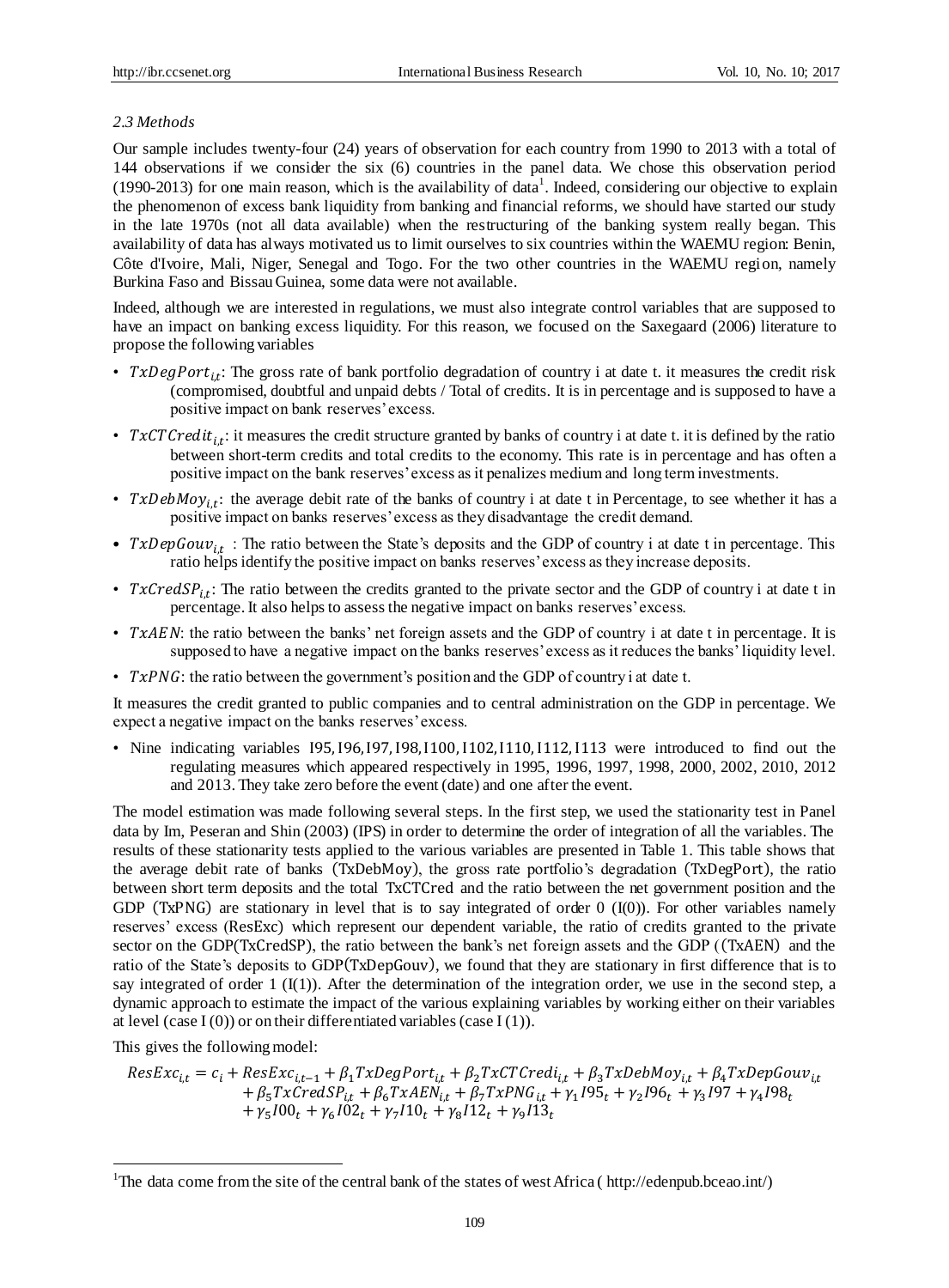# *2.3 Methods*

Our sample includes twenty-four (24) years of observation for each country from 1990 to 2013 with a total of 144 observations if we consider the six (6) countries in the panel data. We chose this observation period  $(1990-2013)$  for one main reason, which is the availability of data<sup>1</sup>. Indeed, considering our objective to explain the phenomenon of excess bank liquidity from banking and financial reforms, we should have started our study in the late 1970s (not all data available) when the restructuring of the banking system really began. This availability of data has always motivated us to limit ourselves to six countries within the WAEMU region: Benin, Côte d'Ivoire, Mali, Niger, Senegal and Togo. For the two other countries in the WAEMU region, namely Burkina Faso and Bissau Guinea, some data were not available.

Indeed, although we are interested in regulations, we must also integrate control variables that are supposed to have an impact on banking excess liquidity. For this reason, we focused on the Saxegaard (2006) literature to propose the following variables

- TxDegPort<sub>i,t</sub>: The gross rate of bank portfolio degradation of country i at date t. it measures the credit risk (compromised, doubtful and unpaid debts / Total of credits. It is in percentage and is supposed to have a positive impact on bank reserves' excess.
- TxCTC redit<sub>it</sub>: it measures the credit structure granted by banks of country i at date t. it is defined by the ratio between short-term credits and total credits to the economy. This rate is in percentage and has often a positive impact on the bank reserves' excess as it penalizes medium and long term investments.
- TxDebMoy<sub>i,t</sub>: the average debit rate of the banks of country i at date t in Percentage, to see whether it has a positive impact on banks reserves' excess as they disadvantage the credit demand.
- $TxDepGouv_{i,t}$ : The ratio between the State's deposits and the GDP of country i at date t in percentage. This ratio helps identify the positive impact on banks reserves' excess as they increase deposits.
- TxCredSP<sub>it</sub>: The ratio between the credits granted to the private sector and the GDP of country i at date t in percentage. It also helps to assess the negative impact on banks reserves' excess.
- $TxAEN$ : the ratio between the banks' net foreign assets and the GDP of country i at date t in percentage. It is supposed to have a negative impact on the banks reserves' excess as it reduces the banks' liquidity level.
- $TxPNG$ : the ratio between the government's position and the GDP of country i at date t.

It measures the credit granted to public companies and to central administration on the GDP in percentage. We expect a negative impact on the banks reserves' excess.

• Nine indicating variables I95,I96,I97,I98,I100,I102,I110,I112, I113 were introduced to find out the regulating measures which appeared respectively in 1995, 1996, 1997, 1998, 2000, 2002, 2010, 2012 and 2013. They take zero before the event (date) and one after the event.

The model estimation was made following several steps. In the first step, we used the stationarity test in Panel data by Im, Peseran and Shin (2003) (IPS) in order to determine the order of integration of all the variables. The results of these stationarity tests applied to the various variables are presented in Table 1. This table shows that the average debit rate of banks (TxDebMoy), the gross rate portfolio's degradation (TxDegPort), the ratio between short term deposits and the total TxCTCred and the ratio between the net government position and the GDP (TxPNG) are stationary in level that is to say integrated of order  $0$  (I(0)). For other variables namely reserves' excess (ResExc) which represent our dependent variable, the ratio of credits granted to the private sector on the GDP(TxCredSP), the ratio between the bank's net foreign assets and the GDP ((TxAEN) and the ratio of the State's deposits to GDP(TxDepGouv), we found that they are stationary in first difference that is to say integrated of order 1  $(I(1))$ . After the determination of the integration order, we use in the second step, a dynamic approach to estimate the impact of the various explaining variables by working either on their variables at level (case  $I(0)$ ) or on their differentiated variables (case  $I(1)$ ).

This gives the following model:

1

$$
ResExc_{i,t} = c_i + ResExc_{i,t-1} + \beta_1 TxDegPort_{i,t} + \beta_2 TxCTCredi_{i,t} + \beta_3 TxDebMov_{i,t} + \beta_4 TxDepGouv_{i,t} + \beta_5 TxCredSP_{i,t} + \beta_6 TxAEN_{i,t} + \beta_7 TxPNG_{i,t} + \gamma_1 I95_t + \gamma_2 I96_t + \gamma_3 I97 + \gamma_4 I98_t + \gamma_5 I00_t + \gamma_6 I02_t + \gamma_7 I10_t + \gamma_8 I12_t + \gamma_9 I13_t
$$

<sup>&</sup>lt;sup>1</sup>The data come from the site of the central bank of the states of west Africa (http://edenpub.bceao.int/)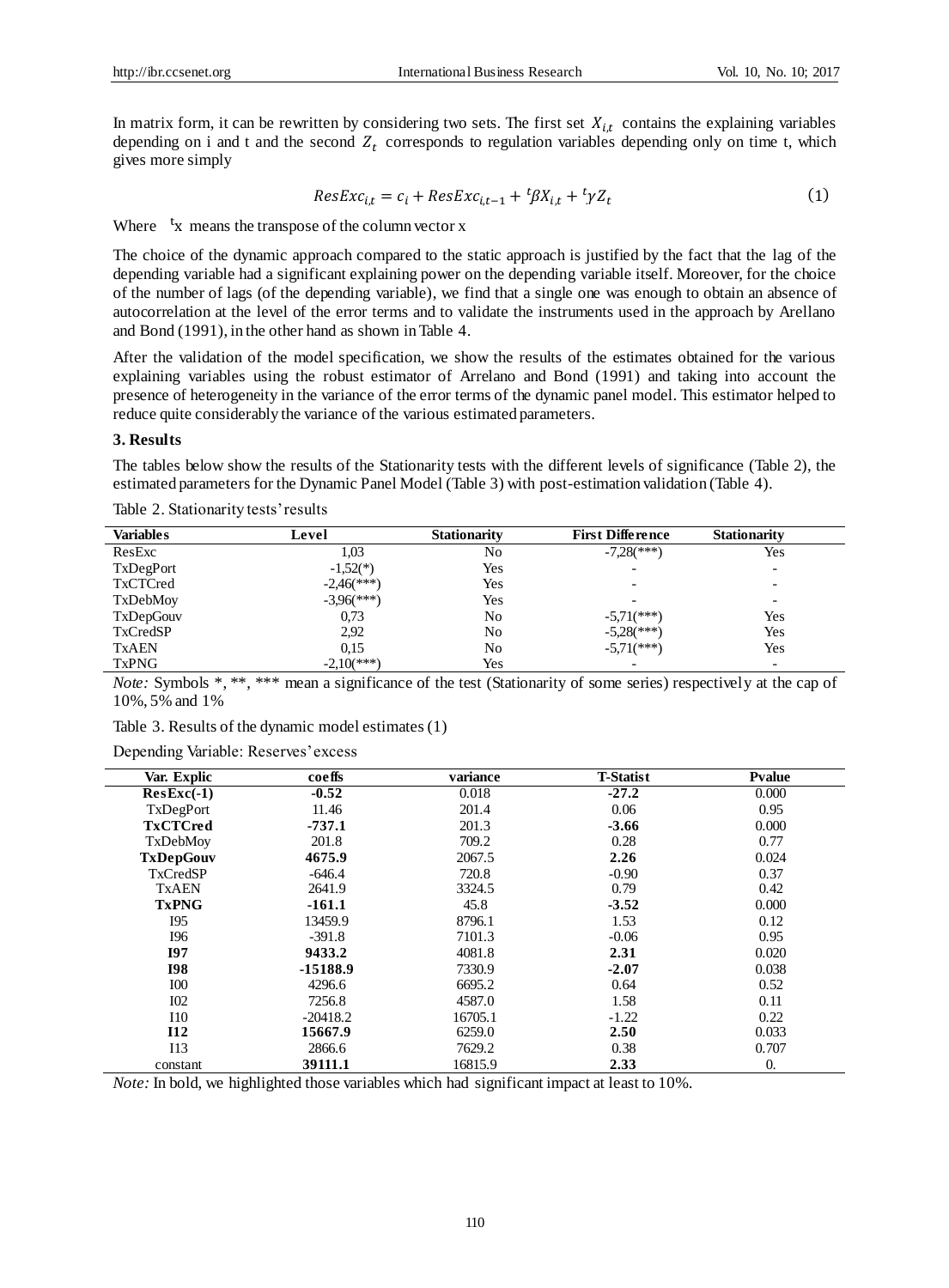In matrix form, it can be rewritten by considering two sets. The first set  $X_{i,t}$  contains the explaining variables depending on i and t and the second  $Z_t$  corresponds to regulation variables depending only on time t, which gives more simply

$$
ResExc_{i,t} = c_i + ResExc_{i,t-1} + {}^t \beta X_{i,t} + {}^t \gamma Z_t \tag{1}
$$

Where  $t_x$  means the transpose of the column vector x

The choice of the dynamic approach compared to the static approach is justified by the fact that the lag of the depending variable had a significant explaining power on the depending variable itself. Moreover, for the choice of the number of lags (of the depending variable), we find that a single one was enough to obtain an absence of autocorrelation at the level of the error terms and to validate the instruments used in the approach by Arellano and Bond (1991), in the other hand as shown in Table 4.

After the validation of the model specification, we show the results of the estimates obtained for the various explaining variables using the robust estimator of Arrelano and Bond (1991) and taking into account the presence of heterogeneity in the variance of the error terms of the dynamic panel model. This estimator helped to reduce quite considerably the variance of the various estimated parameters.

#### **3. Results**

The tables below show the results of the Stationarity tests with the different levels of significance (Table 2), the estimated parameters for the Dynamic Panel Model (Table 3) with post-estimation validation (Table 4).

| <b>Variables</b> | Level                      | <b>Stationarity</b> | <b>First Difference</b>  | <b>Stationarity</b>      |
|------------------|----------------------------|---------------------|--------------------------|--------------------------|
| ResExc           | 1,03                       | No                  | $-7,28$ (***)            | Yes                      |
| TxDegPort        | $-1,52(*)$                 | Yes                 |                          |                          |
| TxCTCred         | $-2,46$ (***)              | Yes                 |                          |                          |
| TxDebMoy         | $-3.96$ <sup>(***)</sup> ) | Yes                 |                          |                          |
| TxDepGouv        | 0,73                       | No                  | $-5.71$ (***)            | Yes                      |
| TxCredSP         | 2.92                       | N <sub>0</sub>      | $-5,28$ (***)            | Yes                      |
| <b>TxAEN</b>     | 0,15                       | N <sub>0</sub>      | $-5.71$ (***)            | Yes                      |
| <b>TxPNG</b>     | $-2,10(***)$               | Yes                 | $\overline{\phantom{0}}$ | $\overline{\phantom{0}}$ |

Table 2. Stationarity tests' results

*Note:* Symbols \*, \*\*, \*\*\* mean a significance of the test (Stationarity of some series) respectively at the cap of 10%, 5% and 1%

|  |  | Table 3. Results of the dynamic model estimates (1) |  |  |  |  |
|--|--|-----------------------------------------------------|--|--|--|--|
|--|--|-----------------------------------------------------|--|--|--|--|

Depending Variable: Reserves' excess

| Var. Explic      | coeffs     | variance | <b>T-Statist</b> | <b>Pvalue</b> |
|------------------|------------|----------|------------------|---------------|
| $ResExc(-1)$     | $-0.52$    | 0.018    | $-27.2$          | 0.000         |
| TxDegPort        | 11.46      | 201.4    | 0.06             | 0.95          |
| <b>TxCTCred</b>  | $-737.1$   | 201.3    | $-3.66$          | 0.000         |
| TxDebMoy         | 201.8      | 709.2    | 0.28             | 0.77          |
| <b>TxDepGouv</b> | 4675.9     | 2067.5   | 2.26             | 0.024         |
| TxCredSP         | $-646.4$   | 720.8    | $-0.90$          | 0.37          |
| <b>TxAEN</b>     | 2641.9     | 3324.5   | 0.79             | 0.42          |
| <b>TxPNG</b>     | $-161.1$   | 45.8     | $-3.52$          | 0.000         |
| <b>I95</b>       | 13459.9    | 8796.1   | 1.53             | 0.12          |
| I96              | $-391.8$   | 7101.3   | $-0.06$          | 0.95          |
| I97              | 9433.2     | 4081.8   | 2.31             | 0.020         |
| <b>I98</b>       | $-15188.9$ | 7330.9   | $-2.07$          | 0.038         |
| <b>IOO</b>       | 4296.6     | 6695.2   | 0.64             | 0.52          |
| I <sub>0</sub> 2 | 7256.8     | 4587.0   | 1.58             | 0.11          |
| 110              | $-20418.2$ | 16705.1  | $-1.22$          | 0.22          |
| <b>I12</b>       | 15667.9    | 6259.0   | 2.50             | 0.033         |
| 113              | 2866.6     | 7629.2   | 0.38             | 0.707         |
| constant         | 39111.1    | 16815.9  | 2.33             | 0.            |

*Note:* In bold, we highlighted those variables which had significant impact at least to 10%.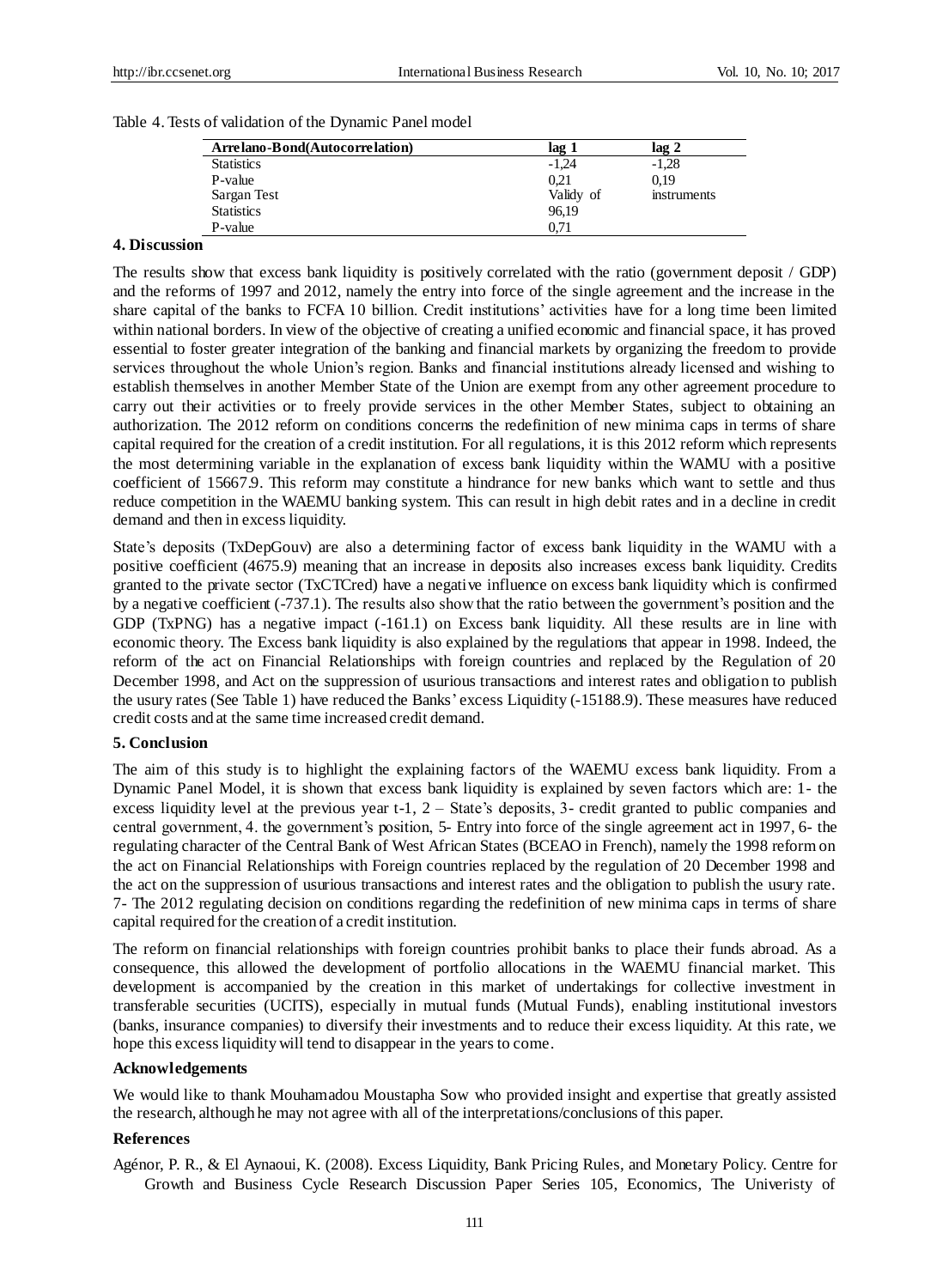| Arrelano-Bond(Autocorrelation) | lag 1     | lag 2       |
|--------------------------------|-----------|-------------|
| <b>Statistics</b>              | $-1,24$   | $-1,28$     |
| P-value                        | 0.21      | 0.19        |
| Sargan Test                    | Validy of | instruments |
| <b>Statistics</b>              | 96,19     |             |
| P-value                        | 0.71      |             |

#### Table 4. Tests of validation of the Dynamic Panel model

#### **4. Discussion**

The results show that excess bank liquidity is positively correlated with the ratio (government deposit / GDP) and the reforms of 1997 and 2012, namely the entry into force of the single agreement and the increase in the share capital of the banks to FCFA 10 billion. Credit institutions' activities have for a long time been limited within national borders. In view of the objective of creating a unified economic and financial space, it has proved essential to foster greater integration of the banking and financial markets by organizing the freedom to provide services throughout the whole Union's region. Banks and financial institutions already licensed and wishing to establish themselves in another Member State of the Union are exempt from any other agreement procedure to carry out their activities or to freely provide services in the other Member States, subject to obtaining an authorization. The 2012 reform on conditions concerns the redefinition of new minima caps in terms of share capital required for the creation of a credit institution. For all regulations, it is this 2012 reform which represents the most determining variable in the explanation of excess bank liquidity within the WAMU with a positive coefficient of 15667.9. This reform may constitute a hindrance for new banks which want to settle and thus reduce competition in the WAEMU banking system. This can result in high debit rates and in a decline in credit demand and then in excess liquidity.

State's deposits (TxDepGouv) are also a determining factor of excess bank liquidity in the WAMU with a positive coefficient (4675.9) meaning that an increase in deposits also increases excess bank liquidity. Credits granted to the private sector (TxCTCred) have a negative influence on excess bank liquidity which is confirmed by a negative coefficient (-737.1). The results also show that the ratio between the government's position and the GDP (TxPNG) has a negative impact (-161.1) on Excess bank liquidity. All these results are in line with economic theory. The Excess bank liquidity is also explained by the regulations that appear in 1998. Indeed, the reform of the act on Financial Relationships with foreign countries and replaced by the Regulation of 20 December 1998, and Act on the suppression of usurious transactions and interest rates and obligation to publish the usury rates (See Table 1) have reduced the Banks' excess Liquidity (-15188.9). These measures have reduced credit costs and at the same time increased credit demand.

#### **5. Conclusion**

The aim of this study is to highlight the explaining factors of the WAEMU excess bank liquidity. From a Dynamic Panel Model, it is shown that excess bank liquidity is explained by seven factors which are: 1- the excess liquidity level at the previous year t-1, 2 – State's deposits, 3- credit granted to public companies and central government, 4. the government's position, 5- Entry into force of the single agreement act in 1997, 6- the regulating character of the Central Bank of West African States (BCEAO in French), namely the 1998 reform on the act on Financial Relationships with Foreign countries replaced by the regulation of 20 December 1998 and the act on the suppression of usurious transactions and interest rates and the obligation to publish the usury rate. 7- The 2012 regulating decision on conditions regarding the redefinition of new minima caps in terms of share capital required for the creation of a credit institution.

The reform on financial relationships with foreign countries prohibit banks to place their funds abroad. As a consequence, this allowed the development of portfolio allocations in the WAEMU financial market. This development is accompanied by the creation in this market of undertakings for collective investment in transferable securities (UCITS), especially in mutual funds (Mutual Funds), enabling institutional investors (banks, insurance companies) to diversify their investments and to reduce their excess liquidity. At this rate, we hope this excess liquidity will tend to disappear in the years to come.

#### **Acknowledgements**

We would like to thank Mouhamadou Moustapha Sow who provided insight and expertise that greatly assisted the research, although he may not agree with all of the interpretations/conclusions of this paper.

#### **References**

Agénor, P. R., & El Aynaoui, K. (2008). Excess Liquidity, Bank Pricing Rules, and Monetary Policy. Centre for Growth and Business Cycle Research Discussion Paper Series 105, Economics, The Univeristy of